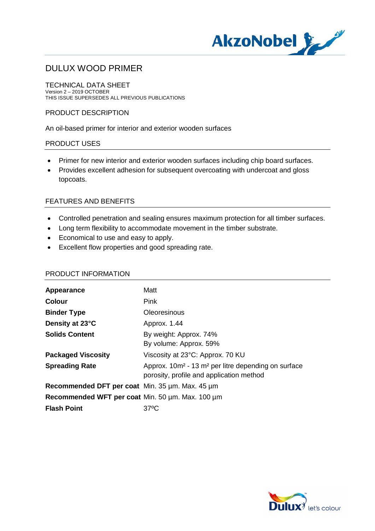

TECHNICAL DATA SHEET Version 2 – 2019 OCTOBER THIS ISSUE SUPERSEDES ALL PREVIOUS PUBLICATIONS

## PRODUCT DESCRIPTION

An oil-based primer for interior and exterior wooden surfaces

## PRODUCT USES

- · Primer for new interior and exterior wooden surfaces including chip board surfaces.
- · Provides excellent adhesion for subsequent overcoating with undercoat and gloss topcoats.

## FEATURES AND BENEFITS

- · Controlled penetration and sealing ensures maximum protection for all timber surfaces.
- · Long term flexibility to accommodate movement in the timber substrate.
- · Economical to use and easy to apply.
- · Excellent flow properties and good spreading rate.

#### PRODUCT INFORMATION

| Appearance                                                 | Matt                                                                                                                    |
|------------------------------------------------------------|-------------------------------------------------------------------------------------------------------------------------|
| <b>Colour</b>                                              | <b>Pink</b>                                                                                                             |
| <b>Binder Type</b>                                         | Oleoresinous                                                                                                            |
| Density at 23°C                                            | Approx. 1.44                                                                                                            |
| <b>Solids Content</b>                                      | By weight: Approx. 74%<br>By volume: Approx. 59%                                                                        |
| <b>Packaged Viscosity</b>                                  | Viscosity at 23°C: Approx. 70 KU                                                                                        |
| <b>Spreading Rate</b>                                      | Approx. 10m <sup>2</sup> - 13 m <sup>2</sup> per litre depending on surface<br>porosity, profile and application method |
| Recommended DFT per coat Min. $35 \mu m$ . Max. $45 \mu m$ |                                                                                                                         |
| Recommended WFT per coat Min. 50 um. Max. 100 um           |                                                                                                                         |
| <b>Flash Point</b>                                         | 37°C                                                                                                                    |

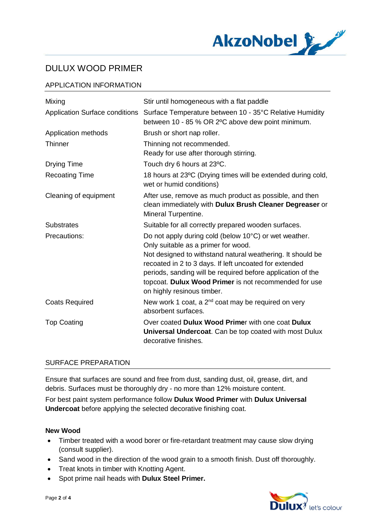

## APPLICATION INFORMATION

| Mixing                                | Stir until homogeneous with a flat paddle                                                                                                                                                                                                                                  |
|---------------------------------------|----------------------------------------------------------------------------------------------------------------------------------------------------------------------------------------------------------------------------------------------------------------------------|
| <b>Application Surface conditions</b> | Surface Temperature between 10 - 35°C Relative Humidity<br>between 10 - 85 % OR 2°C above dew point minimum.                                                                                                                                                               |
| Application methods                   | Brush or short nap roller.                                                                                                                                                                                                                                                 |
| Thinner                               | Thinning not recommended.<br>Ready for use after thorough stirring.                                                                                                                                                                                                        |
| <b>Drying Time</b>                    | Touch dry 6 hours at 23°C.                                                                                                                                                                                                                                                 |
| <b>Recoating Time</b>                 | 18 hours at 23°C (Drying times will be extended during cold,<br>wet or humid conditions)                                                                                                                                                                                   |
| Cleaning of equipment                 | After use, remove as much product as possible, and then<br>clean immediately with Dulux Brush Cleaner Degreaser or<br>Mineral Turpentine.                                                                                                                                  |
| <b>Substrates</b>                     | Suitable for all correctly prepared wooden surfaces.                                                                                                                                                                                                                       |
| Precautions:                          | Do not apply during cold (below 10°C) or wet weather.<br>Only suitable as a primer for wood.                                                                                                                                                                               |
|                                       | Not designed to withstand natural weathering. It should be<br>recoated in 2 to 3 days. If left uncoated for extended<br>periods, sanding will be required before application of the<br>topcoat. Dulux Wood Primer is not recommended for use<br>on highly resinous timber. |
| <b>Coats Required</b>                 | New work 1 coat, a $2^{nd}$ coat may be required on very<br>absorbent surfaces.                                                                                                                                                                                            |
| <b>Top Coating</b>                    | Over coated Dulux Wood Primer with one coat Dulux<br><b>Universal Undercoat.</b> Can be top coated with most Dulux<br>decorative finishes.                                                                                                                                 |

## SURFACE PREPARATION

Ensure that surfaces are sound and free from dust, sanding dust, oil, grease, dirt, and debris. Surfaces must be thoroughly dry - no more than 12% moisture content.

For best paint system performance follow **Dulux Wood Primer** with **Dulux Universal Undercoat** before applying the selected decorative finishing coat.

## **New Wood**

- · Timber treated with a wood borer or fire-retardant treatment may cause slow drying (consult supplier).
- Sand wood in the direction of the wood grain to a smooth finish. Dust off thoroughly.
- · Treat knots in timber with Knotting Agent.
- · Spot prime nail heads with **Dulux Steel Primer.**

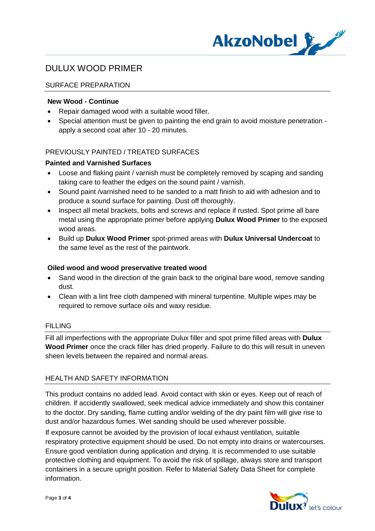

## SURFACE PREPARATION

## **New Wood - Continue**

- · Repair damaged wood with a suitable wood filler.
- · Special attention must be given to painting the end grain to avoid moisture penetration apply a second coat after 10 - 20 minutes.

## PREVIOUSLY PAINTED / TREATED SURFACES

## **Painted and Varnished Surfaces**

- · Loose and flaking paint / varnish must be completely removed by scaping and sanding taking care to feather the edges on the sound paint / varnish.
- · Sound paint /varnished need to be sanded to a matt finish to aid with adhesion and to produce a sound surface for painting. Dust off thoroughly.
- · Inspect all metal brackets, bolts and screws and replace if rusted. Spot prime all bare metal using the appropriate primer before applying **Dulux Wood Primer** to the exposed wood areas.
- · Build up **Dulux Wood Primer** spot-primed areas with **Dulux Universal Undercoat** to the same level as the rest of the paintwork.

## **Oiled wood and wood preservative treated wood**

- Sand wood in the direction of the grain back to the original bare wood, remove sanding dust.
- · Clean with a lint free cloth dampened with mineral turpentine. Multiple wipes may be required to remove surface oils and waxy residue.

## **FILLING**

Fill all imperfections with the appropriate Dulux filler and spot prime filled areas with **Dulux Wood Primer** once the crack filler has dried properly. Failure to do this will result in uneven sheen levels between the repaired and normal areas.

## HEALTH AND SAFETY INFORMATION

This product contains no added lead. Avoid contact with skin or eyes. Keep out of reach of children. If accidently swallowed, seek medical advice immediately and show this container to the doctor. Dry sanding, flame cutting and/or welding of the dry paint film will give rise to dust and/or hazardous fumes. Wet sanding should be used wherever possible.

If exposure cannot be avoided by the provision of local exhaust ventilation, suitable respiratory protective equipment should be used. Do not empty into drains or watercourses. Ensure good ventilation during application and drying. It is recommended to use suitable protective clothing and equipment. To avoid the risk of spillage, always store and transport containers in a secure upright position. Refer to Material Safety Data Sheet for complete information.